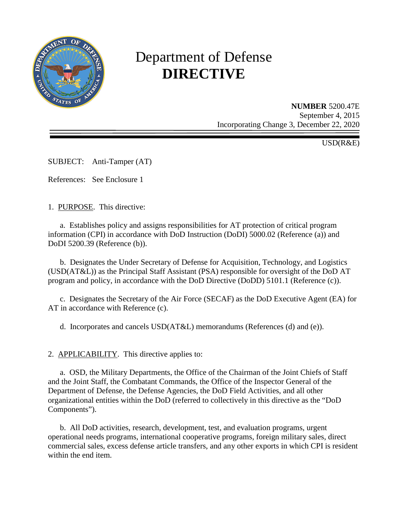

# Department of Defense **DIRECTIVE**

**NUMBER** 5200.47E September 4, 2015 Incorporating Change 3, December 22, 2020

USD(R&E)

SUBJECT: Anti-Tamper (AT)

References: See Enclosure 1

1. PURPOSE. This directive:

a. Establishes policy and assigns responsibilities for AT protection of critical program information (CPI) in accordance with DoD Instruction (DoDI) 5000.02 (Reference (a)) and DoDI 5200.39 (Reference (b)).

b. Designates the Under Secretary of Defense for Acquisition, Technology, and Logistics (USD(AT&L)) as the Principal Staff Assistant (PSA) responsible for oversight of the DoD AT program and policy, in accordance with the DoD Directive (DoDD) 5101.1 (Reference (c)).

c. Designates the Secretary of the Air Force (SECAF) as the DoD Executive Agent (EA) for AT in accordance with Reference (c).

d. Incorporates and cancels USD(AT&L) memorandums (References (d) and (e)).

2. APPLICABILITY. This directive applies to:

a. OSD, the Military Departments, the Office of the Chairman of the Joint Chiefs of Staff and the Joint Staff, the Combatant Commands, the Office of the Inspector General of the Department of Defense, the Defense Agencies, the DoD Field Activities, and all other organizational entities within the DoD (referred to collectively in this directive as the "DoD Components").

b. All DoD activities, research, development, test, and evaluation programs, urgent operational needs programs, international cooperative programs, foreign military sales, direct commercial sales, excess defense article transfers, and any other exports in which CPI is resident within the end item.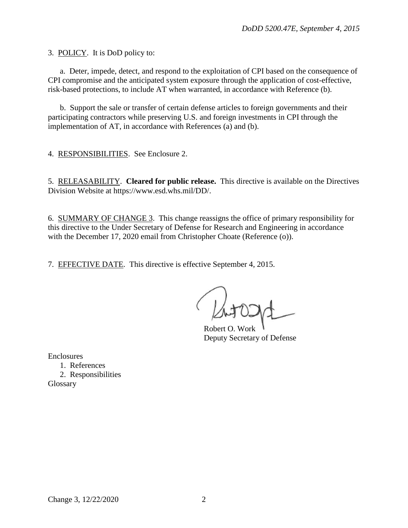3. POLICY. It is DoD policy to:

a. Deter, impede, detect, and respond to the exploitation of CPI based on the consequence of CPI compromise and the anticipated system exposure through the application of cost-effective, risk-based protections, to include AT when warranted, in accordance with Reference (b).

b. Support the sale or transfer of certain defense articles to foreign governments and their participating contractors while preserving U.S. and foreign investments in CPI through the implementation of AT, in accordance with References (a) and (b).

4. RESPONSIBILITIES. See Enclosure 2.

5. RELEASABILITY. **Cleared for public release.** This directive is available on the Directives Division Website at https://www.esd.whs.mil/DD/.

6. SUMMARY OF CHANGE 3. This change reassigns the office of primary responsibility for this directive to the Under Secretary of Defense for Research and Engineering in accordance with the December 17, 2020 email from Christopher Choate (Reference (o)).

7. EFFECTIVE DATE. This directive is effective September 4, 2015.

Robert O. Work Deputy Secretary of Defense

Enclosures

1. References

2. Responsibilities Glossary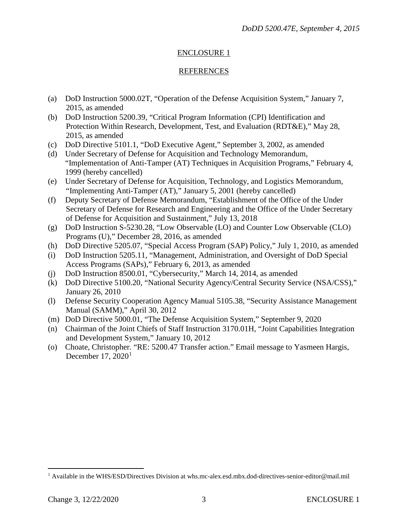## ENCLOSURE 1

## REFERENCES

- (a) DoD Instruction 5000.02T, "Operation of the Defense Acquisition System," January 7, 2015, as amended
- (b) DoD Instruction 5200.39, "Critical Program Information (CPI) Identification and Protection Within Research, Development, Test, and Evaluation (RDT&E)," May 28, 2015, as amended
- (c) DoD Directive 5101.1, "DoD Executive Agent," September 3, 2002, as amended
- (d) Under Secretary of Defense for Acquisition and Technology Memorandum, "Implementation of Anti-Tamper (AT) Techniques in Acquisition Programs," February 4, 1999 (hereby cancelled)
- (e) Under Secretary of Defense for Acquisition, Technology, and Logistics Memorandum, "Implementing Anti-Tamper (AT)," January 5, 2001 (hereby cancelled)
- (f) Deputy Secretary of Defense Memorandum, "Establishment of the Office of the Under Secretary of Defense for Research and Engineering and the Office of the Under Secretary of Defense for Acquisition and Sustainment," July 13, 2018
- (g) DoD Instruction S-5230.28, "Low Observable (LO) and Counter Low Observable (CLO) Programs (U)," December 28, 2016, as amended
- (h) DoD Directive 5205.07, "Special Access Program (SAP) Policy," July 1, 2010, as amended
- (i) DoD Instruction 5205.11, "Management, Administration, and Oversight of DoD Special Access Programs (SAPs)," February 6, 2013, as amended
- (j) DoD Instruction 8500.01, "Cybersecurity," March 14, 2014, as amended
- (k) DoD Directive 5100.20, "National Security Agency/Central Security Service (NSA/CSS)," January 26, 2010
- (l) Defense Security Cooperation Agency Manual 5105.38, "Security Assistance Management Manual (SAMM)," April 30, 2012
- (m) DoD Directive 5000.01, "The Defense Acquisition System," September 9, 2020
- (n) Chairman of the Joint Chiefs of Staff Instruction 3170.01H, "Joint Capabilities Integration and Development System," January 10, 2012
- (o) Choate, Christopher. "RE: 5200.47 Transfer action." Email message to Yasmeen Hargis, December [1](#page-2-0)7,  $2020<sup>1</sup>$

<span id="page-2-0"></span><sup>1</sup> Available in the WHS/ESD/Directives Division at whs.mc-alex.esd.mbx.dod-directives-senior-editor@mail.mil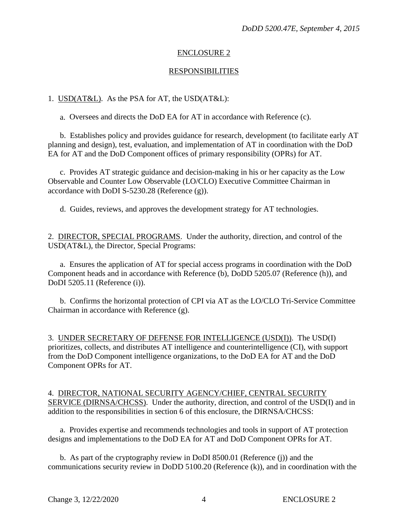## ENCLOSURE 2

#### RESPONSIBILITIES

#### 1. USD(AT&L). As the PSA for AT, the USD(AT&L):

a. Oversees and directs the DoD EA for AT in accordance with Reference (c).

b. Establishes policy and provides guidance for research, development (to facilitate early AT planning and design), test, evaluation, and implementation of AT in coordination with the DoD EA for AT and the DoD Component offices of primary responsibility (OPRs) for AT.

c. Provides AT strategic guidance and decision-making in his or her capacity as the Low Observable and Counter Low Observable (LO/CLO) Executive Committee Chairman in accordance with DoDI S-5230.28 (Reference (g)).

d. Guides, reviews, and approves the development strategy for AT technologies.

2. DIRECTOR, SPECIAL PROGRAMS. Under the authority, direction, and control of the USD(AT&L), the Director, Special Programs:

a. Ensures the application of AT for special access programs in coordination with the DoD Component heads and in accordance with Reference (b), DoDD 5205.07 (Reference (h)), and DoDI 5205.11 (Reference (i)).

b. Confirms the horizontal protection of CPI via AT as the LO/CLO Tri-Service Committee Chairman in accordance with Reference (g).

3. UNDER SECRETARY OF DEFENSE FOR INTELLIGENCE (USD(I)). The USD(I) prioritizes, collects, and distributes AT intelligence and counterintelligence (CI), with support from the DoD Component intelligence organizations, to the DoD EA for AT and the DoD Component OPRs for AT.

4. DIRECTOR, NATIONAL SECURITY AGENCY/CHIEF, CENTRAL SECURITY SERVICE (DIRNSA/CHCSS). Under the authority, direction, and control of the USD(I) and in addition to the responsibilities in section 6 of this enclosure, the DIRNSA/CHCSS:

a. Provides expertise and recommends technologies and tools in support of AT protection designs and implementations to the DoD EA for AT and DoD Component OPRs for AT.

b. As part of the cryptography review in DoDI 8500.01 (Reference (j)) and the communications security review in DoDD 5100.20 (Reference (k)), and in coordination with the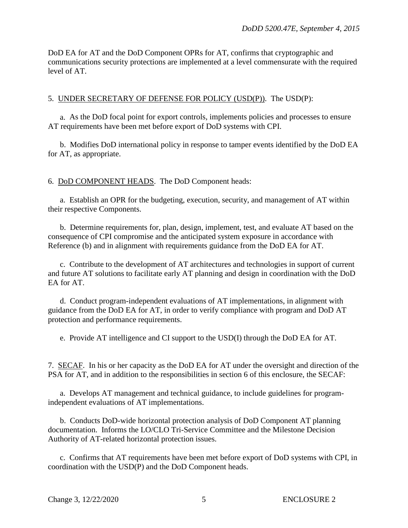DoD EA for AT and the DoD Component OPRs for AT, confirms that cryptographic and communications security protections are implemented at a level commensurate with the required level of AT.

#### 5. UNDER SECRETARY OF DEFENSE FOR POLICY (USD(P)). The USD(P):

a. As the DoD focal point for export controls, implements policies and processes to ensure AT requirements have been met before export of DoD systems with CPI.

b. Modifies DoD international policy in response to tamper events identified by the DoD EA for AT, as appropriate.

6. DoD COMPONENT HEADS. The DoD Component heads:

a. Establish an OPR for the budgeting, execution, security, and management of AT within their respective Components.

b. Determine requirements for, plan, design, implement, test, and evaluate AT based on the consequence of CPI compromise and the anticipated system exposure in accordance with Reference (b) and in alignment with requirements guidance from the DoD EA for AT.

c. Contribute to the development of AT architectures and technologies in support of current and future AT solutions to facilitate early AT planning and design in coordination with the DoD EA for AT.

d. Conduct program-independent evaluations of AT implementations, in alignment with guidance from the DoD EA for AT, in order to verify compliance with program and DoD AT protection and performance requirements.

e. Provide AT intelligence and CI support to the USD(I) through the DoD EA for AT.

7. SECAF. In his or her capacity as the DoD EA for AT under the oversight and direction of the PSA for AT, and in addition to the responsibilities in section 6 of this enclosure, the SECAF:

a. Develops AT management and technical guidance, to include guidelines for programindependent evaluations of AT implementations.

b. Conducts DoD-wide horizontal protection analysis of DoD Component AT planning documentation. Informs the LO/CLO Tri-Service Committee and the Milestone Decision Authority of AT-related horizontal protection issues.

c. Confirms that AT requirements have been met before export of DoD systems with CPI, in coordination with the USD(P) and the DoD Component heads.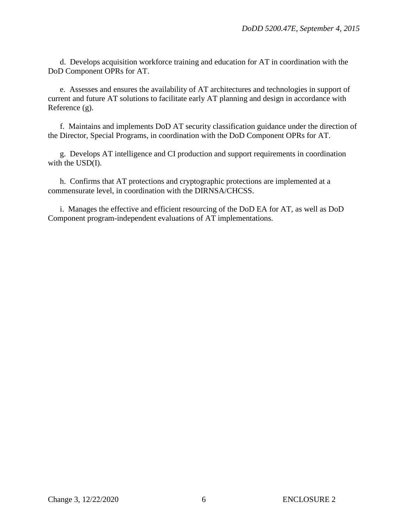d. Develops acquisition workforce training and education for AT in coordination with the DoD Component OPRs for AT.

e. Assesses and ensures the availability of AT architectures and technologies in support of current and future AT solutions to facilitate early AT planning and design in accordance with Reference (g).

f. Maintains and implements DoD AT security classification guidance under the direction of the Director, Special Programs, in coordination with the DoD Component OPRs for AT.

g. Develops AT intelligence and CI production and support requirements in coordination with the USD(I).

h. Confirms that AT protections and cryptographic protections are implemented at a commensurate level, in coordination with the DIRNSA/CHCSS.

i. Manages the effective and efficient resourcing of the DoD EA for AT, as well as DoD Component program-independent evaluations of AT implementations.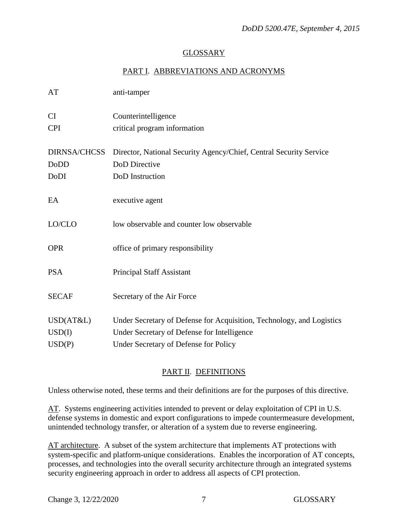# GLOSSARY

# PART I. ABBREVIATIONS AND ACRONYMS

| AT                      | anti-tamper                                                           |
|-------------------------|-----------------------------------------------------------------------|
| <b>CI</b><br><b>CPI</b> | Counterintelligence                                                   |
|                         | critical program information                                          |
| <b>DIRNSA/CHCSS</b>     | Director, National Security Agency/Chief, Central Security Service    |
| DoDD                    | DoD Directive                                                         |
| DoDI                    | DoD Instruction                                                       |
|                         |                                                                       |
| EA                      | executive agent                                                       |
|                         |                                                                       |
| LO/CLO                  | low observable and counter low observable                             |
|                         |                                                                       |
| <b>OPR</b>              | office of primary responsibility                                      |
|                         |                                                                       |
| <b>PSA</b>              | Principal Staff Assistant                                             |
|                         |                                                                       |
| <b>SECAF</b>            | Secretary of the Air Force                                            |
| USD(AT&L)               | Under Secretary of Defense for Acquisition, Technology, and Logistics |
| USD(I)                  | Under Secretary of Defense for Intelligence                           |
|                         |                                                                       |
| USD(P)                  | Under Secretary of Defense for Policy                                 |

# PART II. DEFINITIONS

Unless otherwise noted, these terms and their definitions are for the purposes of this directive.

AT. Systems engineering activities intended to prevent or delay exploitation of CPI in U.S. defense systems in domestic and export configurations to impede countermeasure development, unintended technology transfer, or alteration of a system due to reverse engineering.

AT architecture. A subset of the system architecture that implements AT protections with system-specific and platform-unique considerations. Enables the incorporation of AT concepts, processes, and technologies into the overall security architecture through an integrated systems security engineering approach in order to address all aspects of CPI protection.